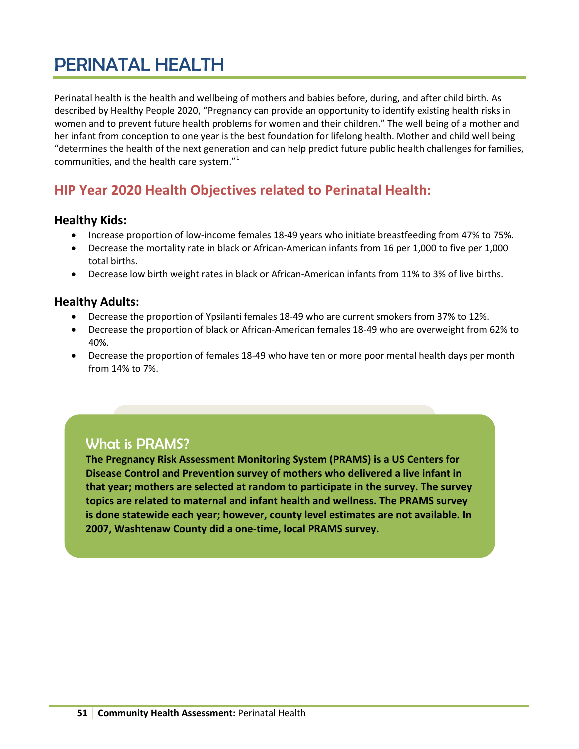# PERINATAL HEALTH

Perinatal health is the health and wellbeing of mothers and babies before, during, and after child birth. As described by Healthy People 2020, "Pregnancy can provide an opportunity to identify existing health risks in women and to prevent future health problems for women and their children." The well being of a mother and her infant from conception to one year is the best foundation for lifelong health. Mother and child well being "determines the health of the next generation and can help predict future public health challenges for families, communities, and the health care system."[1](#page-7-0)

# **HIP Year 2020 Health Objectives related to Perinatal Health:**

# **Healthy Kids:**

- Increase proportion of low-income females 18-49 years who initiate breastfeeding from 47% to 75%.
- Decrease the mortality rate in black or African-American infants from 16 per 1,000 to five per 1,000 total births.
- Decrease low birth weight rates in black or African-American infants from 11% to 3% of live births.

# **Healthy Adults:**

- Decrease the proportion of Ypsilanti females 18-49 who are current smokers from 37% to 12%.
- Decrease the proportion of black or African-American females 18-49 who are overweight from 62% to 40%.
- Decrease the proportion of females 18-49 who have ten or more poor mental health days per month from 14% to 7%.

# What is PRAMS?

**The Pregnancy Risk Assessment Monitoring System (PRAMS) is a US Centers for Disease Control and Prevention survey of mothers who delivered a live infant in that year; mothers are selected at random to participate in the survey. The survey topics are related to maternal and infant health and wellness. The PRAMS survey is done statewide each year; however, county level estimates are not available. In 2007, Washtenaw County did a one-time, local PRAMS survey.**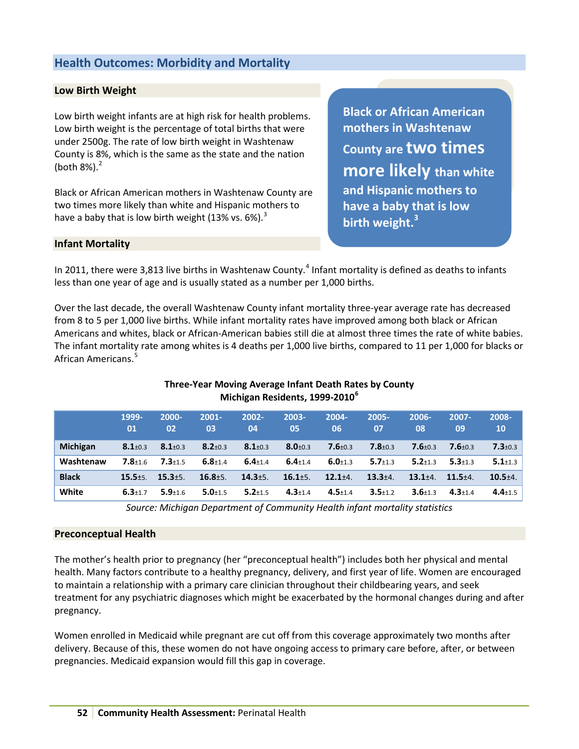# **Health Outcomes: Morbidity and Mortality**

## **Low Birth Weight**

Low birth weight infants are at high risk for health problems. Low birth weight is the percentage of total births that were under 2500g. The rate of low birth weight in Washtenaw County is 8%, which is the same as the state and the nation (both  $8\%$ ). $^{2}$  $^{2}$  $^{2}$ 

Black or African American mothers in Washtenaw County are two times more likely than white and Hispanic mothers to have a baby that is low birth weight (1[3](#page-7-2)% vs. 6%).<sup>3</sup>

**Black or African American mothers in Washtenaw County are two times more likely than white and Hispanic mothers to have a baby that is low birth weight.<sup>3</sup>**

#### **Infant Mortality**

In 2011, there were 3,813 live births in Washtenaw County.<sup>[4](#page-7-3)</sup> Infant mortality is defined as deaths to infants less than one year of age and is usually stated as a number per 1,000 births.

Over the last decade, the overall Washtenaw County infant mortality three-year average rate has decreased from 8 to 5 per 1,000 live births. While infant mortality rates have improved among both black or African Americans and whites, black or African-American babies still die at almost three times the rate of white babies. The infant mortality rate among whites is 4 deaths per 1,000 live births, compared to 11 per 1,000 for blacks or African Americans.<sup>[5](#page-7-4)</sup>

|                 | 1999-<br>01   | 2000-<br>02   | $2001 -$<br>03 | 2002-<br>04   | 2003-<br>05   | 2004-<br>06   | 2005-<br>07   | 2006-<br>08   | $2007 -$<br>09 | 2008-<br><b>10</b> |
|-----------------|---------------|---------------|----------------|---------------|---------------|---------------|---------------|---------------|----------------|--------------------|
| <b>Michigan</b> | $8.1 \pm 0.3$ | $8.1 \pm 0.3$ | $8.2 \pm 0.3$  | $8.1 \pm 0.3$ | $8.0 + 0.3$   | $7.6 + 0.3$   | $7.8 + 0.3$   | $7.6 \pm 0.3$ | $7.6 + 0.3$    | $7.3 \pm 0.3$      |
| Washtenaw       | $7.8 + 1.6$   | $7.3 + 1.5$   | $6.8 \pm 1.4$  | $6.4 \pm 1.4$ | $6.4 \pm 1.4$ | $6.0 + 1.3$   | $5.7 \pm 1.3$ | $5.2 \pm 1.3$ | $5.3 \pm 1.3$  | $5.1 \pm 1.3$      |
| <b>Black</b>    | $15.5 + 5.$   | $15.3 + 5.$   | $16.8 + 5.$    | $14.3 + 5.$   | $16.1 + 5.$   | $12.1 + 4.$   | $13.3 + 4.$   | $13.1 + 4.$   | $11.5 + 4.$    | $10.5 + 4.$        |
| White           | $6.3 \pm 1.7$ | $5.9 + 1.6$   | $5.0 + 1.5$    | $5.2 \pm 1.5$ | $4.3 \pm 1.4$ | $4.5 \pm 1.4$ | $3.5 + 1.2$   | $3.6 \pm 1.3$ | $4.3 \pm 1.4$  | $4.4 \pm 1.5$      |

### **Three-Year Moving Average Infant Death Rates by County Michigan Residents, 1999-2010[6](#page-7-5)**

*Source: Michigan Department of Community Health infant mortality statistics*

#### **Preconceptual Health**

The mother's health prior to pregnancy (her "preconceptual health") includes both her physical and mental health. Many factors contribute to a healthy pregnancy, delivery, and first year of life. Women are encouraged to maintain a relationship with a primary care clinician throughout their childbearing years, and seek treatment for any psychiatric diagnoses which might be exacerbated by the hormonal changes during and after pregnancy.

Women enrolled in Medicaid while pregnant are cut off from this coverage approximately two months after delivery. Because of this, these women do not have ongoing access to primary care before, after, or between pregnancies. Medicaid expansion would fill this gap in coverage.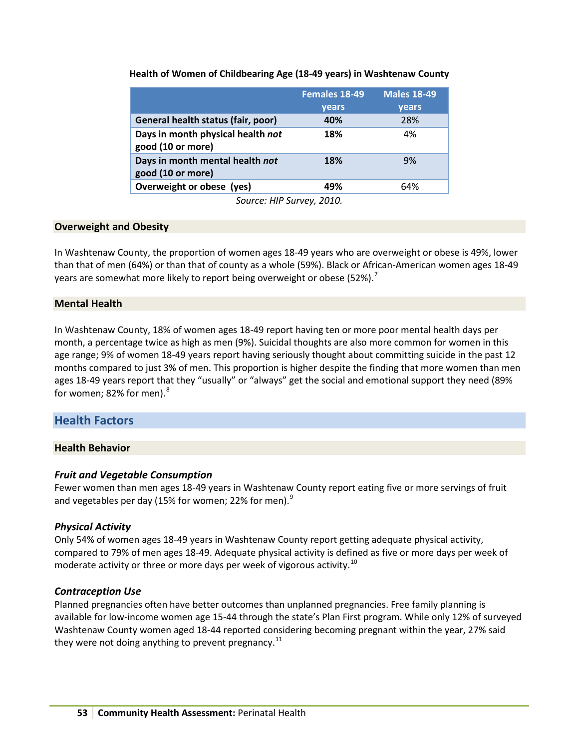#### **Health of Women of Childbearing Age (18-49 years) in Washtenaw County**

|                                                        | <b>Females 18-49</b> | <b>Males 18-49</b> |
|--------------------------------------------------------|----------------------|--------------------|
|                                                        | years                | years              |
| General health status (fair, poor)                     | 40%                  | 28%                |
| Days in month physical health not<br>good (10 or more) | 18%                  | 4%                 |
| Days in month mental health not<br>good (10 or more)   | 18%                  | 9%                 |
| Overweight or obese (yes)                              | 49%                  | 64%                |
| $C_{2112221}$ $HID$ $C_{112121}$                       |                      |                    |

*Source: HIP Survey, 2010.*

### **Overweight and Obesity**

In Washtenaw County, the proportion of women ages 18-49 years who are overweight or obese is 49%, lower than that of men (64%) or than that of county as a whole (59%). Black or African-American women ages 18-49 years are somewhat more likely to report being overweight or obese (52%).<sup>[7](#page-7-6)</sup>

# **Mental Health**

In Washtenaw County, 18% of women ages 18-49 report having ten or more poor mental health days per month, a percentage twice as high as men (9%). Suicidal thoughts are also more common for women in this age range; 9% of women 18-49 years report having seriously thought about committing suicide in the past 12 months compared to just 3% of men. This proportion is higher despite the finding that more women than men ages 18-49 years report that they "usually" or "always" get the social and emotional support they need (89% for women; [8](#page-7-7)2% for men).<sup>8</sup>

# **Health Factors**

#### **Health Behavior**

#### *Fruit and Vegetable Consumption*

Fewer women than men ages 18-49 years in Washtenaw County report eating five or more servings of fruit and vegetables per day (15% for women; 22% for men). $9$ 

#### *Physical Activity*

Only 54% of women ages 18-49 years in Washtenaw County report getting adequate physical activity, compared to 79% of men ages 18-49. Adequate physical activity is defined as five or more days per week of moderate activity or three or more days per week of vigorous activity.<sup>[10](#page-7-9)</sup>

#### *Contraception Use*

Planned pregnancies often have better outcomes than unplanned pregnancies. Free family planning is available for low-income women age 15-44 through the state's Plan First program. While only 12% of surveyed Washtenaw County women aged 18-44 reported considering becoming pregnant within the year, 27% said they were not doing anything to prevent pregnancy.<sup>[11](#page-7-10)</sup>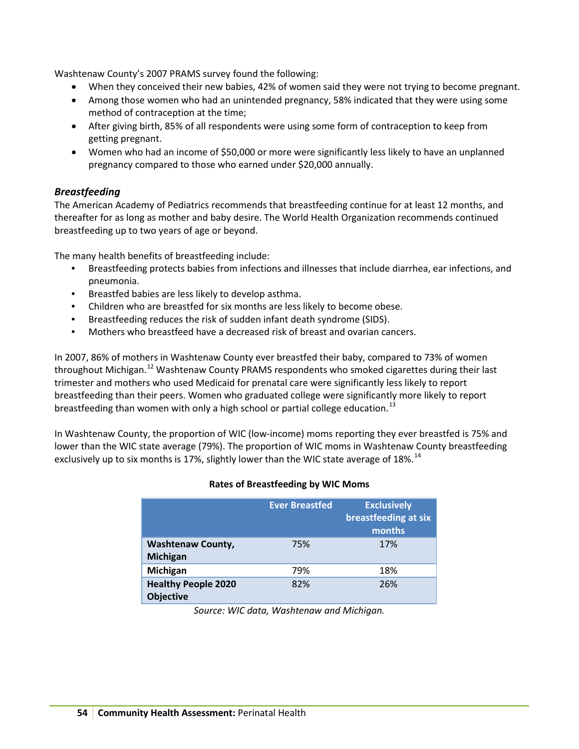Washtenaw County's 2007 PRAMS survey found the following:

- When they conceived their new babies, 42% of women said they were not trying to become pregnant.
- Among those women who had an unintended pregnancy, 58% indicated that they were using some method of contraception at the time;
- After giving birth, 85% of all respondents were using some form of contraception to keep from getting pregnant.
- Women who had an income of \$50,000 or more were significantly less likely to have an unplanned pregnancy compared to those who earned under \$20,000 annually.

# *Breastfeeding*

The American Academy of Pediatrics recommends that breastfeeding continue for at least 12 months, and thereafter for as long as mother and baby desire. The World Health Organization recommends continued breastfeeding up to two years of age or beyond.

The many health benefits of breastfeeding include:

- Breastfeeding protects babies from infections and illnesses that include diarrhea, ear infections, and pneumonia.
- Breastfed babies are less likely to develop asthma.
- Children who are breastfed for six months are less likely to become obese.
- Breastfeeding reduces the risk of sudden infant death syndrome (SIDS).
- Mothers who breastfeed have a decreased risk of breast and ovarian cancers.

In 2007, 86% of mothers in Washtenaw County ever breastfed their baby, compared to 73% of women throughout Michigan.<sup>[12](#page-7-11)</sup> Washtenaw County PRAMS respondents who smoked cigarettes during their last trimester and mothers who used Medicaid for prenatal care were significantly less likely to report breastfeeding than their peers. Women who graduated college were significantly more likely to report breastfeeding than women with only a high school or partial college education.<sup>[13](#page-7-12)</sup>

In Washtenaw County, the proportion of WIC (low-income) moms reporting they ever breastfed is 75% and lower than the WIC state average (79%). The proportion of WIC moms in Washtenaw County breastfeeding exclusively up to six months is 17%, slightly lower than the WIC state average of 18%.<sup>[14](#page-7-13)</sup>

#### **Rates of Breastfeeding by WIC Moms**

|                                                | <b>Ever Breastfed</b> | <b>Exclusively</b><br>breastfeeding at six<br>months |
|------------------------------------------------|-----------------------|------------------------------------------------------|
| <b>Washtenaw County,</b><br>Michigan           | 75%                   | 17%                                                  |
| Michigan                                       | 79%                   | 18%                                                  |
| <b>Healthy People 2020</b><br><b>Objective</b> | 82%                   | 26%                                                  |

*Source: WIC data, Washtenaw and Michigan.*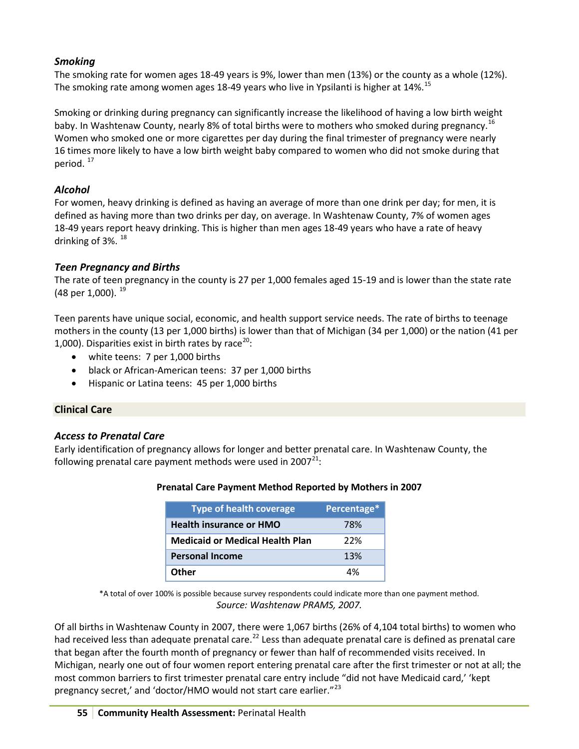# *Smoking*

The smoking rate for women ages 18-49 years is 9%, lower than men (13%) or the county as a whole (12%). The smoking rate among women ages 18-49 years who live in Ypsilanti is higher at 14%.<sup>[15](#page-7-14)</sup>

Smoking or drinking during pregnancy can significantly increase the likelihood of having a low birth weight baby. In Washtenaw County, nearly 8% of total births were to mothers who smoked during pregnancy.<sup>[16](#page-7-15)</sup> Women who smoked one or more cigarettes per day during the final trimester of pregnancy were nearly 16 times more likely to have a low birth weight baby compared to women who did not smoke during that period. [17](#page-7-16)

# *Alcohol*

For women, heavy drinking is defined as having an average of more than one drink per day; for men, it is defined as having more than two drinks per day, on average. In Washtenaw County, 7% of women ages 18-49 years report heavy drinking. This is higher than men ages 18-49 years who have a rate of heavy drinking of  $3\%$ .  $^{18}$  $^{18}$  $^{18}$ 

# *Teen Pregnancy and Births*

The rate of teen pregnancy in the county is 27 per 1,000 females aged 15-19 and is lower than the state rate (48 per 1,000).  $^{19}$  $^{19}$  $^{19}$ 

Teen parents have unique social, economic, and health support service needs. The rate of births to teenage mothers in the county (13 per 1,000 births) is lower than that of Michigan (34 per 1,000) or the nation (41 per 1,000). Disparities exist in birth rates by race<sup>[20](#page-7-19)</sup>:

- white teens: 7 per 1,000 births
- black or African-American teens: 37 per 1,000 births
- Hispanic or Latina teens: 45 per 1,000 births

# **Clinical Care**

# *Access to Prenatal Care*

Early identification of pregnancy allows for longer and better prenatal care. In Washtenaw County, the following prenatal care payment methods were used in  $2007^{21}$  $2007^{21}$  $2007^{21}$ :

| <b>Type of health coverage</b>         | Percentage* |
|----------------------------------------|-------------|
| <b>Health insurance or HMO</b>         | 78%         |
| <b>Medicaid or Medical Health Plan</b> | 22%         |
| <b>Personal Income</b>                 | 13%         |

**Other** 4%

# **Prenatal Care Payment Method Reported by Mothers in 2007**

\*A total of over 100% is possible because survey respondents could indicate more than one payment method. *Source: Washtenaw PRAMS, 2007.*

Of all births in Washtenaw County in 2007, there were 1,067 births (26% of 4,104 total births) to women who had received less than adequate prenatal care.<sup>[22](#page-7-21)</sup> Less than adequate prenatal care is defined as prenatal care that began after the fourth month of pregnancy or fewer than half of recommended visits received. In Michigan, nearly one out of four women report entering prenatal care after the first trimester or not at all; the most common barriers to first trimester prenatal care entry include "did not have Medicaid card,' 'kept pregnancy secret,' and 'doctor/HMO would not start care earlier."<sup>[23](#page-7-22)</sup>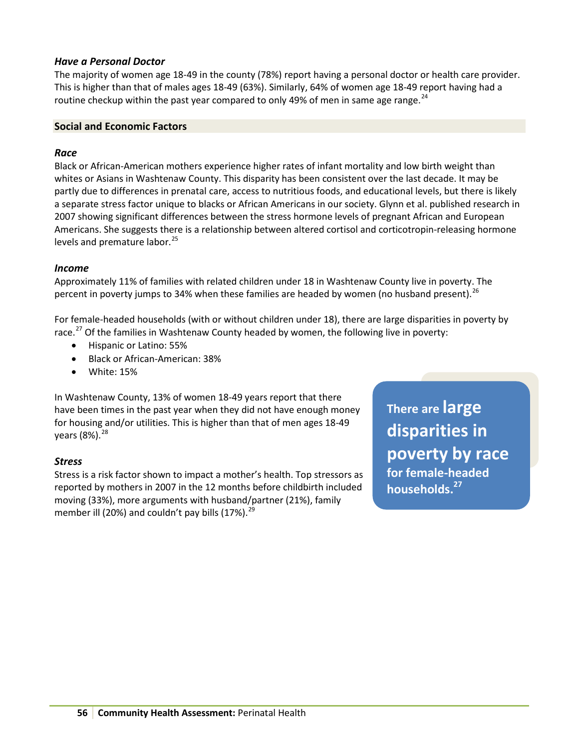# *Have a Personal Doctor*

The majority of women age 18-49 in the county (78%) report having a personal doctor or health care provider. This is higher than that of males ages 18-49 (63%). Similarly, 64% of women age 18-49 report having had a routine checkup within the past year compared to only 49% of men in same age range.<sup>[24](#page-7-23)</sup>

### **Social and Economic Factors**

## *Race*

Black or African-American mothers experience higher rates of infant mortality and low birth weight than whites or Asians in Washtenaw County. This disparity has been consistent over the last decade. It may be partly due to differences in prenatal care, access to nutritious foods, and educational levels, but there is likely a separate stress factor unique to blacks or African Americans in our society. Glynn et al. published research in 2007 showing significant differences between the stress hormone levels of pregnant African and European Americans. She suggests there is a relationship between altered cortisol and corticotropin-releasing hormone levels and premature labor.<sup>[25](#page-7-24)</sup>

### *Income*

Approximately 11% of families with related children under 18 in Washtenaw County live in poverty. The percent in poverty jumps to 34% when these families are headed by women (no husband present).  $^{26}$  $^{26}$  $^{26}$ 

For female-headed households (with or without children under 18), there are large disparities in poverty by race.<sup>[27](#page-7-26)</sup> Of the families in Washtenaw County headed by women, the following live in poverty:

- Hispanic or Latino: 55%
- Black or African-American: 38%
- White: 15%

In Washtenaw County, 13% of women 18-49 years report that there have been times in the past year when they did not have enough money for housing and/or utilities. This is higher than that of men ages 18-49 years  $(8\%)$ .  $^{28}$  $^{28}$  $^{28}$ 

# *Stress*

Stress is a risk factor shown to impact a mother's health. Top stressors as reported by mothers in 2007 in the 12 months before childbirth included moving (33%), more arguments with husband/partner (21%), family member ill (20%) and couldn't pay bills  $(17%)$ .<sup>[29](#page-7-28)</sup>

**There are large disparities in poverty by race for female-headed households.27**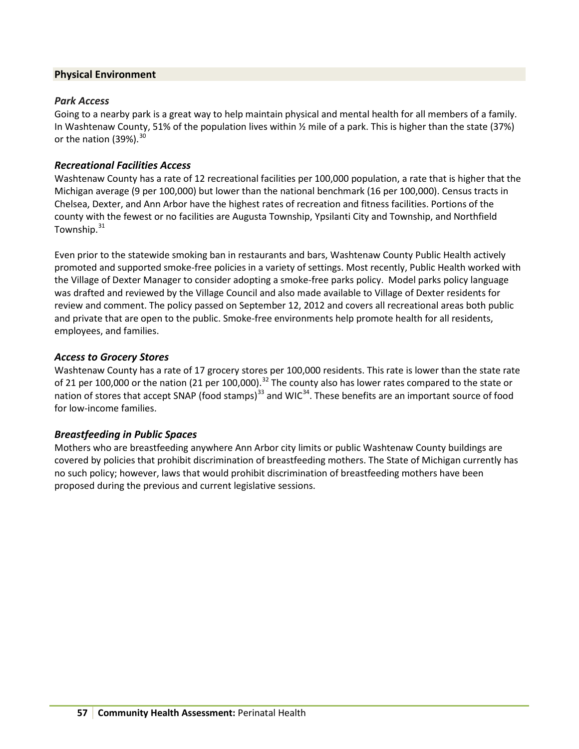# **Physical Environment**

### *Park Access*

Going to a nearby park is a great way to help maintain physical and mental health for all members of a family. In Washtenaw County, 51% of the population lives within ½ mile of a park. This is higher than the state (37%) or the nation (39%).<sup>[30](#page-7-29)</sup>

# *Recreational Facilities Access*

Washtenaw County has a rate of 12 recreational facilities per 100,000 population, a rate that is higher that the Michigan average (9 per 100,000) but lower than the national benchmark (16 per 100,000). Census tracts in Chelsea, Dexter, and Ann Arbor have the highest rates of recreation and fitness facilities. Portions of the county with the fewest or no facilities are Augusta Township, Ypsilanti City and Township, and Northfield Township.<sup>[31](#page-7-30)</sup>

Even prior to the statewide smoking ban in restaurants and bars, Washtenaw County Public Health actively promoted and supported smoke-free policies in a variety of settings. Most recently, Public Health worked with the Village of Dexter Manager to consider adopting a smoke-free parks policy. Model parks policy language was drafted and reviewed by the Village Council and also made available to Village of Dexter residents for review and comment. The policy passed on September 12, 2012 and covers all recreational areas both public and private that are open to the public. Smoke-free environments help promote health for all residents, employees, and families.

### *Access to Grocery Stores*

Washtenaw County has a rate of 17 grocery stores per 100,000 residents. This rate is lower than the state rate of 21 per 100,000 or the nation (21 per 100,000).<sup>[32](#page-7-31)</sup> The county also has lower rates compared to the state or nation of stores that accept SNAP (food stamps)<sup>[33](#page-7-32)</sup> and WIC<sup>[34](#page-7-33)</sup>. These benefits are an important source of food for low-income families.

# *Breastfeeding in Public Spaces*

Mothers who are breastfeeding anywhere Ann Arbor city limits or public Washtenaw County buildings are covered by policies that prohibit discrimination of breastfeeding mothers. The State of Michigan currently has no such policy; however, laws that would prohibit discrimination of breastfeeding mothers have been proposed during the previous and current legislative sessions.